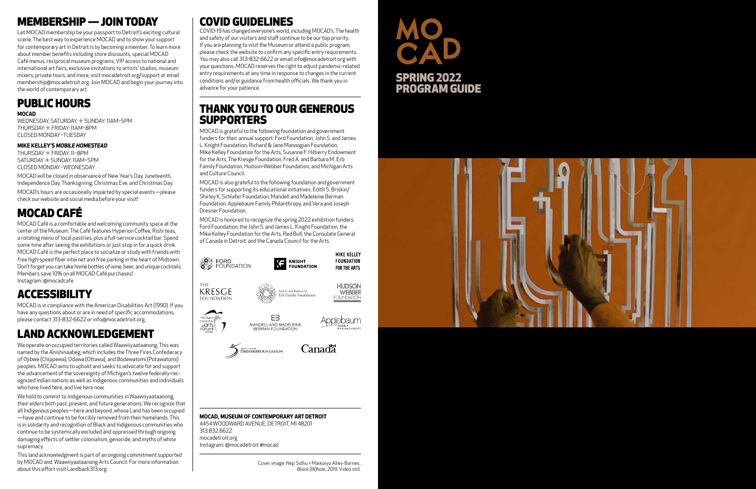## COVID GUIDELINES

## THANK YOU TO OUR GENEROUS **SUPPORTERS**

COVID-19 has changed everyone's world, including MOCAD's. The health and safety of our visitors and staff continue to be our top priority. If you are planning to visit the Museum or attend a public program, please check the website to confirm any specific entry requirements. You may also call 313-832-6622 or email info@mocadetroit.org with your questions. MOCAD reserves the right to adjust pandemic-related entry requirements at any time in response to changes in the current conditions and/or guidance from health officials. We thank you in advance for your patience.

MOCAD is grateful to the following foundation and government funders for their annual support: Ford Foundation, John S. and James L. Knight Foundation, Richard & Jane Manoogian Foundation, Mike Kelley Foundation for the Arts, Susanne F. Hilberry Endowment for the Arts, The Kresge Foundation, Fred A. and Barbara M. Erb Family Foundation, Hudson-Webber Foundation, and Michigan Arts and Culture Council.

MOCAD is also grateful to the following foundation and government funders for supporting its educational initiatives: Edith S. Briskin/ Shirley K. Schlafer Foundation, Mandell and Madeleine Berman Foundation, Applebaum Family Philanthropy, and Vera and Joseph Dresner Foundation.

MOCAD is honored to recognize the spring 2022 exhibition funders: Ford Foundation, the John S. and James L. Knight Foundation, the Mike Kelley Foundation for the Arts, Red Bull, the Consulate General of Canada in Detroit, and the Canada Council for the Arts.



#### **MOCAD, MUSEUM OF CONTEMPORARY ART DETROIT** 4454 WOODWARD AVENUE, DETROIT, MI 48201 313.832.6622 mocadetroit.org Instagram: @mocadetroit #mocad

## MEMBERSHIP — JOIN TODAY

Let MOCAD membership be your passport to Detroit's exciting cultural scene. The best way to experience MOCAD and to show your support for contemporary art in Detroit is by becoming a member. To learn more about member benefits including store discounts, special MOCAD Café menus, reciprocal museum programs, VIP access to national and international art fairs, exclusive invitations to artists' studios, museum mixers, private tours, and more, visit mocadetroit.org/support or email membership@mocadetroit.org. Join MOCAD and begin your journey into the world of contemporary art.

## PUBLIC HOURS

#### **MOCAD**

WEDNESDAY, SATURDAY, + SUNDAY: 11AM–5PM THURSDAY + FRIDAY: 11AM–8PM CLOSED MONDAY–TUESDAY

#### **MIKE KELLEY'S** *MOBILE HOMESTEAD*

THURSDAY + FRIDAY: 11–8PM SATURDAY + SUNDAY: 11AM–5PM CLOSED MONDAY–WEDNESDAY

MOCAD will be closed in observance of New Year's Day, Juneteenth, Independence Day, Thanksgiving, Christmas Eve, and Christmas Day.

MOCAD's hours are occasionally impacted by special events—please check our website and social media before your visit!

## MOCAD CAFÉ

MOCAD Café is a comfortable and welcoming community space at the center of the Museum. The Café features Hyperion Coffee, Rishi teas, a rotating menu of local pastries, plus a full-service cocktail bar. Spend some time after seeing the exhibitions or just stop in for a quick drink. MOCAD Café is the perfect place to socialize or study with friends with free high-speed fiber internet and free parking in the heart of Midtown. Don't forget you can take home bottles of wine, beer, and unique cocktails. Members save 10% on all MOCAD Café purchases! Instagram: @mocadcafe

## **ACCESSIBILITY**

MOCAD is in compliance with the American Disabilities Act (1990). If you have any questions about or are in need of specific accommodations, please contact 313-832-6622 or info@mocadetroit.org.

## LAND ACKNOWLEDGEMENT

We operate on occupied territories called Waawiiyaataanong. This was named by the Anishinaabeg, which includes the Three Fires Confederacy of Ojibwe (Chippewa), Odawa (Ottawa), and Bodewatomi (Potawatomi) peoples. MOCAD aims to uphold and seeks to advocate for and support the advancement of the sovereignty of Michigan's twelve federally-recognized Indian nations as well as Indigenous communities and individuals who have lived here, and live here now.

We hold to commit to Indigenous communities in Waawiiyaataanong, their elders both past, present, and future generations. We recognize that all Indigenous peoples—here and beyond, whose Land has been occupied —have and continue to be forcibly removed from their homelands. This is in solidarity and recognition of Black and Indigenous communities who continue to be systemically excluded and oppressed through ongoing damaging effects of settler colonialism, genocide, and myths of white supremacy.

This land acknowledgment is part of an ongoing commitment supported by MOCAD and Waawiiyaataanong Arts Council. For more information about this effort visit Landback313.org

# SPRING 2022 PROGRAM GUIDE



Cover image: Nep Sidhu + Maikoiyo Alley-Barnes, *Black (W)hole*, 2019. Video still.